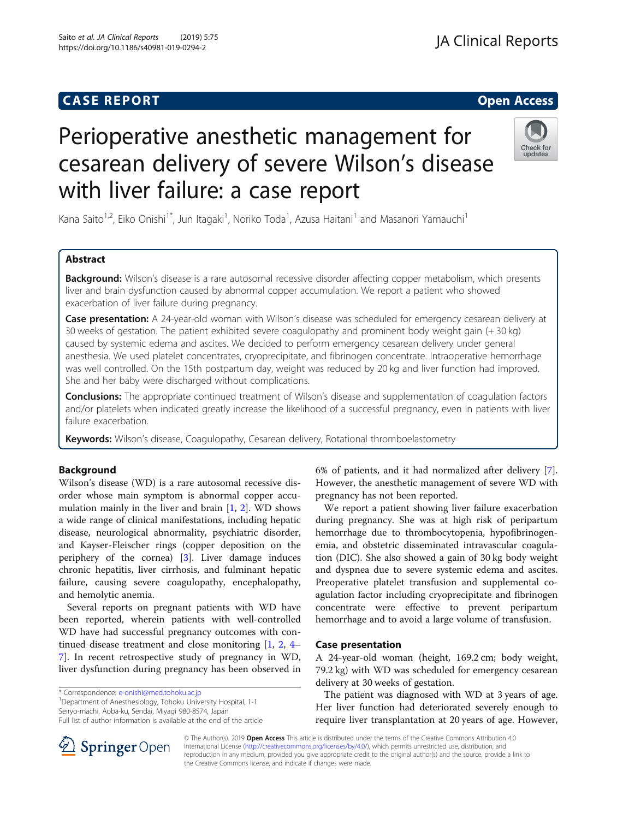Saito et al. JA Clinical Reports (2019) 5:75 https://doi.org/10.1186/s40981-019-0294-2

# Perioperative anesthetic management for cesarean delivery of severe Wilson's disease with liver failure: a case report

Kana Saito<sup>1,2</sup>, Eiko Onishi<sup>1\*</sup>, Jun Itagaki<sup>1</sup>, Noriko Toda<sup>1</sup>, Azusa Haitani<sup>1</sup> and Masanori Yamauchi<sup>1</sup>

# Abstract

Background: Wilson's disease is a rare autosomal recessive disorder affecting copper metabolism, which presents liver and brain dysfunction caused by abnormal copper accumulation. We report a patient who showed exacerbation of liver failure during pregnancy.

Case presentation: A 24-year-old woman with Wilson's disease was scheduled for emergency cesarean delivery at 30 weeks of gestation. The patient exhibited severe coagulopathy and prominent body weight gain (+ 30 kg) caused by systemic edema and ascites. We decided to perform emergency cesarean delivery under general anesthesia. We used platelet concentrates, cryoprecipitate, and fibrinogen concentrate. Intraoperative hemorrhage was well controlled. On the 15th postpartum day, weight was reduced by 20 kg and liver function had improved. She and her baby were discharged without complications.

**Conclusions:** The appropriate continued treatment of Wilson's disease and supplementation of coagulation factors and/or platelets when indicated greatly increase the likelihood of a successful pregnancy, even in patients with liver failure exacerbation.

Keywords: Wilson's disease, Coagulopathy, Cesarean delivery, Rotational thromboelastometry

# Background

Wilson's disease (WD) is a rare autosomal recessive disorder whose main symptom is abnormal copper accumulation mainly in the liver and brain [[1](#page-3-0), [2\]](#page-3-0). WD shows a wide range of clinical manifestations, including hepatic disease, neurological abnormality, psychiatric disorder, and Kayser-Fleischer rings (copper deposition on the periphery of the cornea) [\[3\]](#page-3-0). Liver damage induces chronic hepatitis, liver cirrhosis, and fulminant hepatic failure, causing severe coagulopathy, encephalopathy, and hemolytic anemia.

Several reports on pregnant patients with WD have been reported, wherein patients with well-controlled WD have had successful pregnancy outcomes with continued disease treatment and close monitoring [\[1,](#page-3-0) [2,](#page-3-0) [4](#page-3-0)– [7\]](#page-3-0). In recent retrospective study of pregnancy in WD, liver dysfunction during pregnancy has been observed in

\* Correspondence: [e-onishi@med.tohoku.ac.jp](mailto:e-onishi@med.tohoku.ac.jp) <sup>1</sup>

Department of Anesthesiology, Tohoku University Hospital, 1-1 Seiryo-machi, Aoba-ku, Sendai, Miyagi 980-8574, Japan

6% of patients, and it had normalized after delivery [\[7](#page-3-0)]. However, the anesthetic management of severe WD with pregnancy has not been reported.

We report a patient showing liver failure exacerbation during pregnancy. She was at high risk of peripartum hemorrhage due to thrombocytopenia, hypofibrinogenemia, and obstetric disseminated intravascular coagulation (DIC). She also showed a gain of 30 kg body weight and dyspnea due to severe systemic edema and ascites. Preoperative platelet transfusion and supplemental coagulation factor including cryoprecipitate and fibrinogen concentrate were effective to prevent peripartum hemorrhage and to avoid a large volume of transfusion.

# Case presentation

A 24-year-old woman (height, 169.2 cm; body weight, 79.2 kg) with WD was scheduled for emergency cesarean delivery at 30 weeks of gestation.

The patient was diagnosed with WD at 3 years of age. Her liver function had deteriorated severely enough to require liver transplantation at 20 years of age. However,

© The Author(s). 2019 Open Access This article is distributed under the terms of the Creative Commons Attribution 4.0 International License ([http://creativecommons.org/licenses/by/4.0/\)](http://creativecommons.org/licenses/by/4.0/), which permits unrestricted use, distribution, and reproduction in any medium, provided you give appropriate credit to the original author(s) and the source, provide a link to the Creative Commons license, and indicate if changes were made.





JA Clinical Reports

Full list of author information is available at the end of the article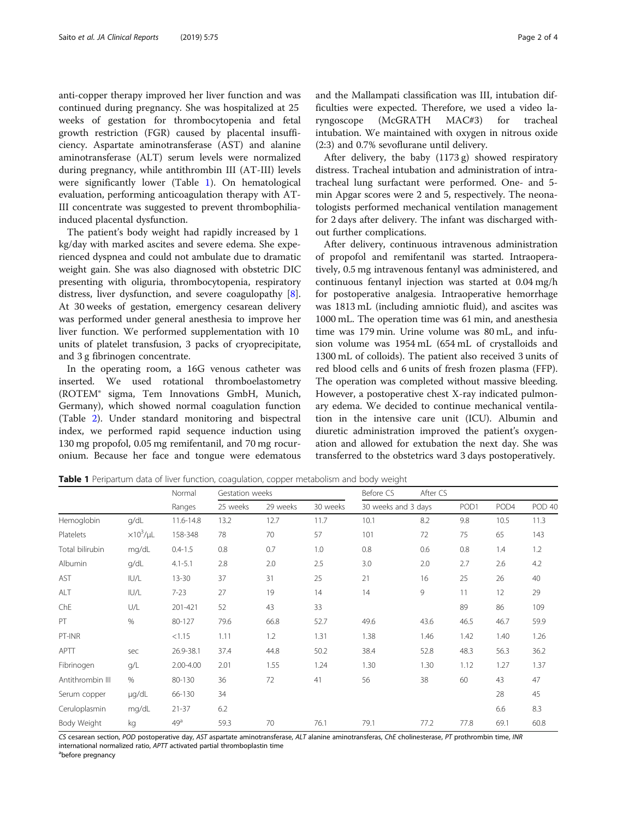anti-copper therapy improved her liver function and was continued during pregnancy. She was hospitalized at 25 weeks of gestation for thrombocytopenia and fetal growth restriction (FGR) caused by placental insufficiency. Aspartate aminotransferase (AST) and alanine aminotransferase (ALT) serum levels were normalized during pregnancy, while antithrombin III (AT-III) levels were significantly lower (Table 1). On hematological evaluation, performing anticoagulation therapy with AT-III concentrate was suggested to prevent thrombophiliainduced placental dysfunction.

The patient's body weight had rapidly increased by 1 kg/day with marked ascites and severe edema. She experienced dyspnea and could not ambulate due to dramatic weight gain. She was also diagnosed with obstetric DIC presenting with oliguria, thrombocytopenia, respiratory distress, liver dysfunction, and severe coagulopathy [\[8](#page-3-0)]. At 30 weeks of gestation, emergency cesarean delivery was performed under general anesthesia to improve her liver function. We performed supplementation with 10 units of platelet transfusion, 3 packs of cryoprecipitate, and 3 g fibrinogen concentrate.

In the operating room, a 16G venous catheter was inserted. We used rotational thromboelastometry (ROTEM® sigma, Tem Innovations GmbH, Munich, Germany), which showed normal coagulation function (Table [2\)](#page-2-0). Under standard monitoring and bispectral index, we performed rapid sequence induction using 130 mg propofol, 0.05 mg remifentanil, and 70 mg rocuronium. Because her face and tongue were edematous and the Mallampati classification was III, intubation difficulties were expected. Therefore, we used a video laryngoscope (McGRATH MAC#3) for tracheal intubation. We maintained with oxygen in nitrous oxide (2:3) and 0.7% sevoflurane until delivery.

After delivery, the baby (1173 g) showed respiratory distress. Tracheal intubation and administration of intratracheal lung surfactant were performed. One- and 5 min Apgar scores were 2 and 5, respectively. The neonatologists performed mechanical ventilation management for 2 days after delivery. The infant was discharged without further complications.

After delivery, continuous intravenous administration of propofol and remifentanil was started. Intraoperatively, 0.5 mg intravenous fentanyl was administered, and continuous fentanyl injection was started at 0.04 mg/h for postoperative analgesia. Intraoperative hemorrhage was 1813 mL (including amniotic fluid), and ascites was 1000 mL. The operation time was 61 min, and anesthesia time was 179 min. Urine volume was 80 mL, and infusion volume was 1954 mL (654 mL of crystalloids and 1300 mL of colloids). The patient also received 3 units of red blood cells and 6 units of fresh frozen plasma (FFP). The operation was completed without massive bleeding. However, a postoperative chest X-ray indicated pulmonary edema. We decided to continue mechanical ventilation in the intensive care unit (ICU). Albumin and diuretic administration improved the patient's oxygenation and allowed for extubation the next day. She was transferred to the obstetrics ward 3 days postoperatively.

| Table 1 Peripartum data of liver function, coagulation, copper metabolism and body weight |  |
|-------------------------------------------------------------------------------------------|--|
|-------------------------------------------------------------------------------------------|--|

|                  |                     | Normal          | Gestation weeks      |      |          | Before CS           | After CS |                  |      |        |
|------------------|---------------------|-----------------|----------------------|------|----------|---------------------|----------|------------------|------|--------|
|                  |                     | Ranges          | 25 weeks<br>29 weeks |      | 30 weeks | 30 weeks and 3 days |          | POD <sub>1</sub> |      | POD 40 |
| Hemoglobin       | q/dL                | 11.6-14.8       | 13.2                 | 12.7 | 11.7     | 10.1                | 8.2      | 9.8              | 10.5 | 11.3   |
| <b>Platelets</b> | $\times 10^3/\mu L$ | 158-348         | 78                   | 70   | 57       | 101                 | 72       | 75               | 65   | 143    |
| Total bilirubin  | mg/dL               | $0.4 - 1.5$     | 0.8                  | 0.7  | 1.0      | 0.8                 | 0.6      | 0.8              | 1.4  | 1.2    |
| Albumin          | q/dL                | $4.1 - 5.1$     | 2.8                  | 2.0  | 2.5      | 3.0                 | 2.0      | 2.7              | 2.6  | 4.2    |
| AST              | IUI/L               | $13 - 30$       | 37                   | 31   | 25       | 21                  | 16       | 25               | 26   | 40     |
| ALT              | IUVL                | $7 - 23$        | 27                   | 19   | 14       | 14                  | 9        | 11               | 12   | 29     |
| ChE              | U/L                 | 201-421         | 52                   | 43   | 33       |                     |          | 89               | 86   | 109    |
| PT               | $\%$                | 80-127          | 79.6                 | 66.8 | 52.7     | 49.6                | 43.6     | 46.5             | 46.7 | 59.9   |
| PT-INR           |                     | < 1.15          | 1.11                 | 1.2  | 1.31     | 1.38                | 1.46     | 1.42             | 1.40 | 1.26   |
| APTT             | sec                 | 26.9-38.1       | 37.4                 | 44.8 | 50.2     | 38.4                | 52.8     | 48.3             | 56.3 | 36.2   |
| Fibrinogen       | q/L                 | 2.00-4.00       | 2.01                 | 1.55 | 1.24     | 1.30                | 1.30     | 1.12             | 1.27 | 1.37   |
| Antithrombin III | %                   | 80-130          | 36                   | 72   | 41       | 56                  | 38       | 60               | 43   | 47     |
| Serum copper     | µg/dL               | 66-130          | 34                   |      |          |                     |          |                  | 28   | 45     |
| Ceruloplasmin    | mg/dL               | $21 - 37$       | 6.2                  |      |          |                     |          |                  | 6.6  | 8.3    |
| Body Weight      | kg                  | 49 <sup>a</sup> | 59.3                 | 70   | 76.1     | 79.1                | 77.2     | 77.8             | 69.1 | 60.8   |

CS cesarean section, POD postoperative day, AST aspartate aminotransferase, ALT alanine aminotransferas, ChE cholinesterase, PT prothrombin time, INR international normalized ratio, APTT activated partial thromboplastin time

before pregnancy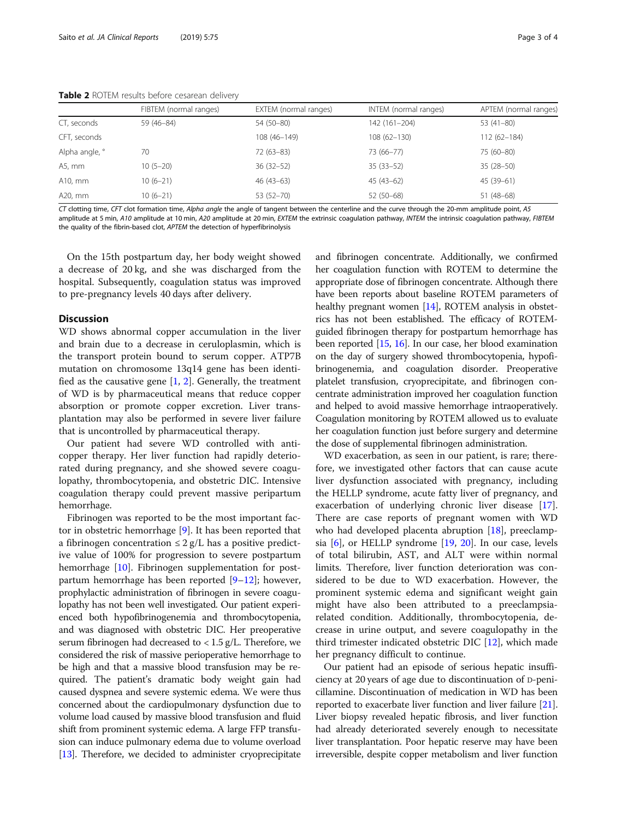|                | FIBTEM (normal ranges) | EXTEM (normal ranges) | INTEM (normal ranges) | APTEM (normal ranges) |
|----------------|------------------------|-----------------------|-----------------------|-----------------------|
| CT, seconds    | 59 (46-84)             | 54 (50-80)            | 142 (161-204)         | 53 (41-80)            |
| CFT, seconds   |                        | 108 (46-149)          | $108(62 - 130)$       | $112(62 - 184)$       |
| Alpha angle, ° | 70                     | $72(63-83)$           | 73 (66-77)            | 75 (60-80)            |
| A5, mm         | $10(5-20)$             | $36(32-52)$           | $35(33-52)$           | $35(28-50)$           |
| A10, mm        | $10(6-21)$             | $46(43-63)$           | $45(43-62)$           | 45 (39-61)            |
| A20, mm        | $10(6-21)$             | 53 (52-70)            | $52(50-68)$           | $51(48-68)$           |

<span id="page-2-0"></span>Table 2 ROTEM results before cesarean delivery

CT clotting time, CFT clot formation time, Alpha angle the angle of tangent between the centerline and the curve through the 20-mm amplitude point, A5 amplitude at 5 min, A10 amplitude at 10 min, A20 amplitude at 20 min, EXTEM the extrinsic coagulation pathway, INTEM the intrinsic coagulation pathway, FIBTEM the quality of the fibrin-based clot, APTEM the detection of hyperfibrinolysis

On the 15th postpartum day, her body weight showed a decrease of 20 kg, and she was discharged from the hospital. Subsequently, coagulation status was improved to pre-pregnancy levels 40 days after delivery.

#### **Discussion**

WD shows abnormal copper accumulation in the liver and brain due to a decrease in ceruloplasmin, which is the transport protein bound to serum copper. ATP7B mutation on chromosome 13q14 gene has been identified as the causative gene  $[1, 2]$  $[1, 2]$  $[1, 2]$  $[1, 2]$  $[1, 2]$ . Generally, the treatment of WD is by pharmaceutical means that reduce copper absorption or promote copper excretion. Liver transplantation may also be performed in severe liver failure that is uncontrolled by pharmaceutical therapy.

Our patient had severe WD controlled with anticopper therapy. Her liver function had rapidly deteriorated during pregnancy, and she showed severe coagulopathy, thrombocytopenia, and obstetric DIC. Intensive coagulation therapy could prevent massive peripartum hemorrhage.

Fibrinogen was reported to be the most important factor in obstetric hemorrhage [[9\]](#page-3-0). It has been reported that a fibrinogen concentration  $\leq 2$  g/L has a positive predictive value of 100% for progression to severe postpartum hemorrhage [\[10](#page-3-0)]. Fibrinogen supplementation for postpartum hemorrhage has been reported [[9](#page-3-0)–[12](#page-3-0)]; however, prophylactic administration of fibrinogen in severe coagulopathy has not been well investigated. Our patient experienced both hypofibrinogenemia and thrombocytopenia, and was diagnosed with obstetric DIC. Her preoperative serum fibrinogen had decreased to < 1.5 g/L. Therefore, we considered the risk of massive perioperative hemorrhage to be high and that a massive blood transfusion may be required. The patient's dramatic body weight gain had caused dyspnea and severe systemic edema. We were thus concerned about the cardiopulmonary dysfunction due to volume load caused by massive blood transfusion and fluid shift from prominent systemic edema. A large FFP transfusion can induce pulmonary edema due to volume overload [[13](#page-3-0)]. Therefore, we decided to administer cryoprecipitate and fibrinogen concentrate. Additionally, we confirmed her coagulation function with ROTEM to determine the appropriate dose of fibrinogen concentrate. Although there have been reports about baseline ROTEM parameters of healthy pregnant women [\[14\]](#page-3-0), ROTEM analysis in obstetrics has not been established. The efficacy of ROTEMguided fibrinogen therapy for postpartum hemorrhage has been reported [\[15,](#page-3-0) [16](#page-3-0)]. In our case, her blood examination on the day of surgery showed thrombocytopenia, hypofibrinogenemia, and coagulation disorder. Preoperative platelet transfusion, cryoprecipitate, and fibrinogen concentrate administration improved her coagulation function and helped to avoid massive hemorrhage intraoperatively. Coagulation monitoring by ROTEM allowed us to evaluate her coagulation function just before surgery and determine the dose of supplemental fibrinogen administration.

WD exacerbation, as seen in our patient, is rare; therefore, we investigated other factors that can cause acute liver dysfunction associated with pregnancy, including the HELLP syndrome, acute fatty liver of pregnancy, and exacerbation of underlying chronic liver disease [\[17](#page-3-0)]. There are case reports of pregnant women with WD who had developed placenta abruption [[18\]](#page-3-0), preeclampsia [\[6](#page-3-0)], or HELLP syndrome [[19,](#page-3-0) [20](#page-3-0)]. In our case, levels of total bilirubin, AST, and ALT were within normal limits. Therefore, liver function deterioration was considered to be due to WD exacerbation. However, the prominent systemic edema and significant weight gain might have also been attributed to a preeclampsiarelated condition. Additionally, thrombocytopenia, decrease in urine output, and severe coagulopathy in the third trimester indicated obstetric DIC [\[12](#page-3-0)], which made her pregnancy difficult to continue.

Our patient had an episode of serious hepatic insufficiency at 20 years of age due to discontinuation of D-penicillamine. Discontinuation of medication in WD has been reported to exacerbate liver function and liver failure [[21](#page-3-0)]. Liver biopsy revealed hepatic fibrosis, and liver function had already deteriorated severely enough to necessitate liver transplantation. Poor hepatic reserve may have been irreversible, despite copper metabolism and liver function